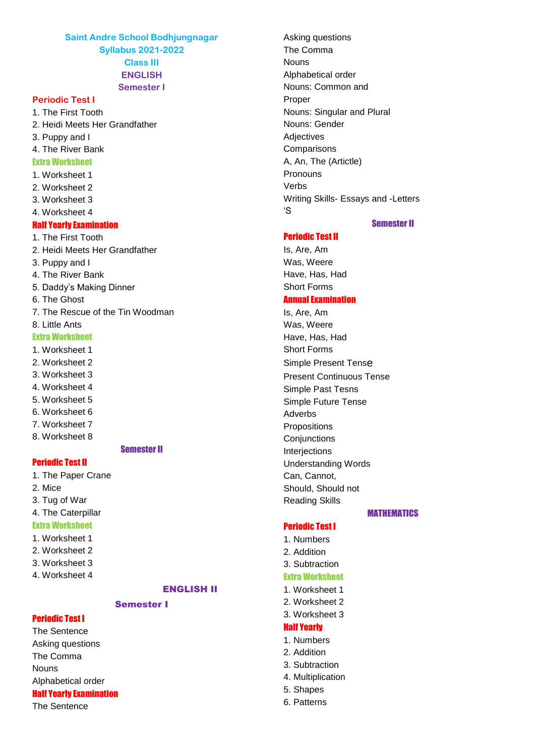**Saint Andre School Bodhjungnagar Syllabus 2021-2022 Class III ENGLISH Semester I**

# **Periodic Test I**

1. The First Tooth 2. Heidi Meets Her Grandfather 3. Puppy and I 4. The River Bank Extra Worksheet 1. Worksheet 1 2. Worksheet 2 3. Worksheet 3 4. Worksheet 4

# Half Yearly Examination

1. The First Tooth 2. Heidi Meets Her Grandfather 3. Puppy and I 4. The River Bank 5. Daddy's Making Dinner 6. The Ghost 7. The Rescue of the Tin Woodman 8. Little Ants Extra Worksheet

1. Worksheet 1

2. Worksheet 2

3. Worksheet 3

- 4. Worksheet 4
- 5. Worksheet 5
- 6. Worksheet 6
- 7. Worksheet 7
- 8. Worksheet 8

# Semester II

#### Periodic Test II

1. The Paper Crane 2. Mice 3. Tug of War 4. The Caterpillar Extra Worksheet

#### 1. Worksheet 1

- 2. Worksheet 2
- 3. Worksheet 3
- 4. Worksheet 4

Periodic Test I

# ENGLISH II

# Semester I

The Sentence Asking questions The Comma Nouns Alphabetical order Half Yearly Examination The Sentence

Asking questions The Comma **Nouns** Alphabetical order Nouns: Common and Proper Nouns: Singular and Plural Nouns: Gender **Adjectives Comparisons** A, An, The (Artictle) Pronouns Verbs Writing Skills- Essays and -Letters 'S

# Periodic Test II

# Semester II

Is, Are, Am Was, Weere Have, Has, Had Short Forms Annual Examination

Is, Are, Am Was, Weere Have, Has, Had Short Forms Simple Present Tense Present Continuous Tense Simple Past Tesns Simple Future Tense Adverbs Propositions **Conjunctions** Interjections Understanding Words Can, Cannot, Should, Should not Reading Skills

# MATHEMATICS

# Periodic Test I

- 1. Numbers
- 2. Addition
- 3. Subtraction

#### Extra Worksheet

- 1. Worksheet 1
- 2. Worksheet 2
- 3. Worksheet 3

#### Half Yearly

- 1. Numbers
- 2. Addition
- 3. Subtraction
- 4. Multiplication
- 5. Shapes
- 6. Patterns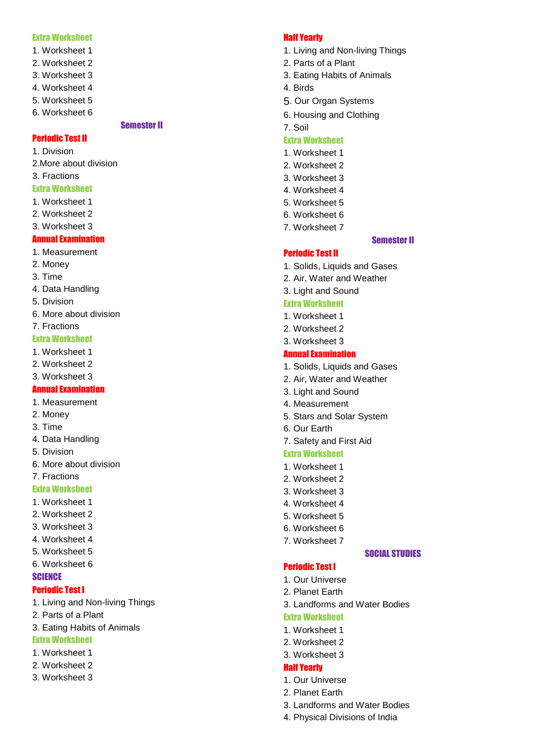#### Extra Worksheet

- 1. Worksheet 1
- 2. Worksheet 2
- 3. Worksheet 3
- 4. Worksheet 4
- 5. Worksheet 5
- 6. Worksheet 6

# Semester II

#### Periodic Test II

1. Division

- 2.More about division
- 3. Fractions

#### Extra Worksheet

- 1. Worksheet 1
- 2. Worksheet 2
- 3. Worksheet 3

# Annual Examination

- 1. Measurement
- 2. Money
- 3. Time
- 4. Data Handling
- 5. Division
- 6. More about division
- 7. Fractions

# Extra Worksheet

- 1. Worksheet 1
- 2. Worksheet 2
- 3. Worksheet 3

### Annual Examination

- 1. Measurement
- 2. Money
- 3. Time
- 4. Data Handling
- 5. Division
- 6. More about division
- 7. Fractions

### Extra Worksheet

- 1. Worksheet 1
- 2. Worksheet 2
- 3. Worksheet 3
- 4. Worksheet 4
- 5. Worksheet 5
- 6. Worksheet 6

#### **SCIENCE**

#### Periodic Test I

- 1. Living and Non -living Things
- 2. Parts of a Plant
- 3. Eating Habits of Animals

#### Extra Worksheet

- 1. Worksheet 1
- 2. Worksheet 2
- 3. Worksheet 3

#### Half Yearly

- 1. Living and Non -living Things
- 2. Parts of a Plant
- 3. Eating Habits of Animals
- 4. Birds
- 5. Our Organ Systems
- 6. Housing and Clothing

# 7. Soil

# Extra Worksheet

- 1. Worksheet 1
- 2. Worksheet 2
- 3. Worksheet 3
- 4. Worksheet 4
- 5. Worksheet 5
- 6. Worksheet 6
- 7. Worksheet 7

# Semester II

# Periodic Test II

- 1. Solids, Liquids and Gases
- 2. Air, Water and Weather
- 3. Light and Sound

#### Extra Worksheet

- 1. Worksheet 1
- 2. Worksheet 2
- 3. Worksheet 3

#### Annual Examination

- 1. Solids, Liquids and Gases
- 2. Air, Water and Weather
- 3. Light and Sound
- 4. Measurement
- 5. Stars and Solar System
- 6. Our Earth

#### 7. Safety and First Aid

#### Extra Worksheet

- 1. Worksheet 1
- 2. Worksheet 2
- 3. Worksheet 3
- 4. Worksheet 4
- 5. Worksheet 5
- 6. Worksheet 6
- 7. Worksheet 7

#### SOCIAL STUDIES

# Periodic Test I

- 1. Our Universe
- 2. Planet Earth
- 3. Landforms and Water Bodies

3. Landforms and Water Bodies 4. Physical Divisions of India

#### Extra Worksheet

1. Worksheet 1 2. Worksheet 2

3. Worksheet 3 Half Yearly 1. Our Universe 2. Planet Earth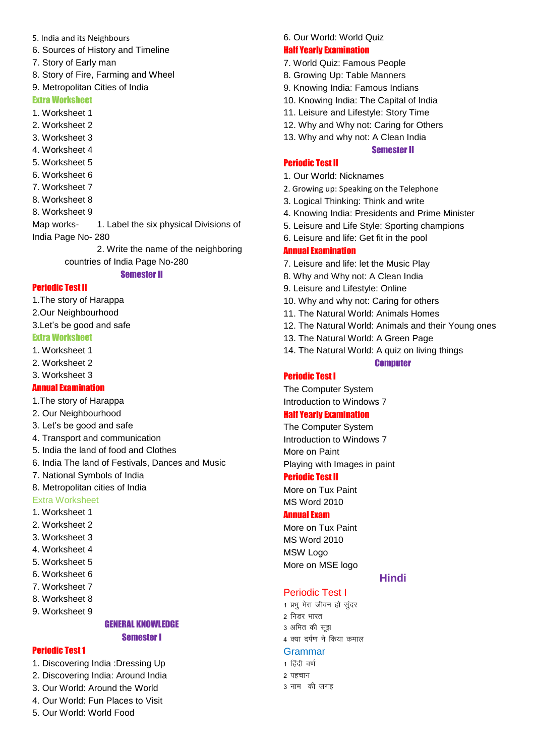- 5. India and its Neighbours
- 6. Sources of History and Timeline
- 7. Story of Early man
- 8. Story of Fire, Farming and Wheel
- 9. Metropolitan Cities of India

#### Extra Worksheet

- 1. Worksheet 1
- 2. Worksheet 2
- 3. Worksheet 3
- 4. Worksheet 4
- 5. Worksheet 5
- 6. Worksheet 6
- 7. Worksheet 7
- 8. Worksheet 8
- 8. Worksheet 9

Map works- 1. Label the six physical Divisions of India Page No- 280

> 2. Write the name of the neighboring countries of India Page No-280

#### Semester II

#### Periodic Test II

- 1.The story of Harappa
- 2.Our Neighbourhood
- 3.Let's be good and safe

### Extra Worksheet

- 1. Worksheet 1
- 2. Worksheet 2
- 3. Worksheet 3

## Annual Examination

- 1.The story of Harappa
- 2. Our Neighbourhood
- 3. Let's be good and safe
- 4. Transport and communication
- 5. India the land of food and Clothes
- 6. India The land of Festivals, Dances and Music
- 7. National Symbols of India
- 8. Metropolitan cities of India
- Extra Worksheet
- 1. Worksheet 1
- 2. Worksheet 2
- 3. Worksheet 3
- 4. Worksheet 4
- 5. Worksheet 5
- 6. Worksheet 6
- 7. Worksheet 7
- 8. Worksheet 8
- 9. Worksheet 9

### GENERAL KNOWLEDGE Semester I

#### Periodic Test 1

- 1. Discovering India :Dressing Up
- 2. Discovering India: Around India
- 3. Our World: Around the World
- 4. Our World: Fun Places to Visit
- 5. Our World: World Food

### 6. Our World: World Quiz

#### Half Yearly Examination

- 7. World Quiz: Famous People
- 8. Growing Up: Table Manners
- 9. Knowing India: Famous Indians
- 10. Knowing India: The Capital of India
- 11. Leisure and Lifestyle: Story Time
- 12. Why and Why not: Caring for Others
- 13. Why and why not: A Clean India

#### Semester II

#### Periodic Test II

- 1. Our World: Nicknames
- 2. Growing up: Speaking on the Telephone
- 3. Logical Thinking: Think and write
- 4. Knowing India: Presidents and Prime Minister
- 5. Leisure and Life Style: Sporting champions
- 6. Leisure and life: Get fit in the pool

#### Annual Examination

- 7. Leisure and life: let the Music Play
- 8. Why and Why not: A Clean India
- 9. Leisure and Lifestyle: Online
- 10. Why and why not: Caring for others
- 11. The Natural World: Animals Homes
- 12. The Natural World: Animals and their Young ones
- 13. The Natural World: A Green Page
- 14. The Natural World: A quiz on living things

### **Computer**

# Periodic Test I

The Computer System Introduction to Windows 7

# Half Yearly Examination

The Computer System Introduction to Windows 7 More on Paint Playing with Images in paint

#### Periodic Test II

More on Tux Paint MS Word 2010

### Annual Exam

More on Tux Paint MS Word 2010 MSW Logo More on MSE logo

# Periodic Test I

**Hindi** 

1 प्रभ मेरा जीवन हो सुंदर 2 निडर भारत 3 अमित की सूझ 4 क्या दर्पण ने किया कमाल

#### Grammar

1 हिंदी वर्ण 2 पहचान 3 नाम) की जगह